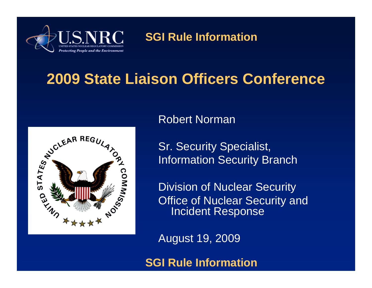

### **2009 State Liaison Officers Conference**



Robert Norman

Sr. Security Specialist, Information Security Branch

Division of Nuclear Security Office of Nuclear Security and Incident Response

August 19, 2009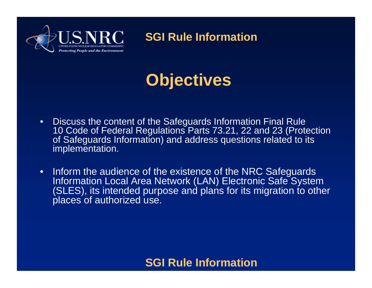

# **Objectives**

- Discuss the content of the Safeguards Information Final Rule 10 Code of Federal Regulations Parts 73.21, 22 and 23 (Protection of Safeguards Information) and address questions related to its implementation.
- Inform the audience of the existence of the NRC Safeguards Information Local Area Network (LAN) Electronic Safe System (SLES), its intended purpose and plans for its migration to other places of authorized use.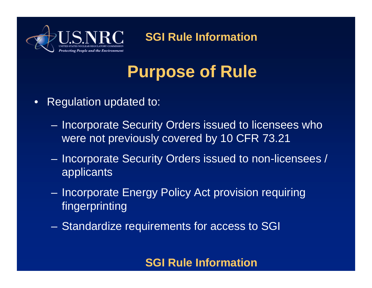

# **Purpose of Rule**

- Regulation updated to:
	- Incorporate Security Orders issued to licensees who were not previously covered by 10 CFR 73.21
	- Incorporate Security Orders issued to non-licensees / applicants
	- Incorporate Energy Policy Act provision requiring fingerprinting
	- Standardize requirements for access to SGI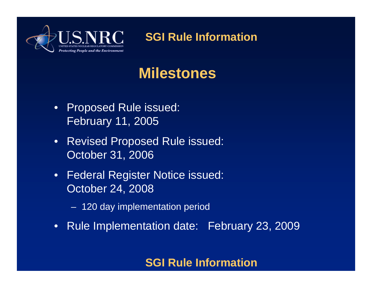

### **Milestones**

- Proposed Rule issued: February 11, 2005
- Revised Proposed Rule issued: October 31, 2006
- Federal Register Notice issued: October 24, 2008
	- 120 day implementation period
- Rule Implementation date: February 23, 2009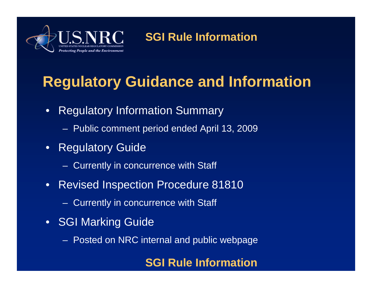

# **Regulatory Guidance and Information**

- Regulatory Information Summary
	- Public comment period ended April 13, 2009
- Regulatory Guide
	- Currently in concurrence with Staff
- Revised Inspection Procedure 81810
	- Currently in concurrence with Staff
- SGI Marking Guide
	- Posted on NRC internal and public webpage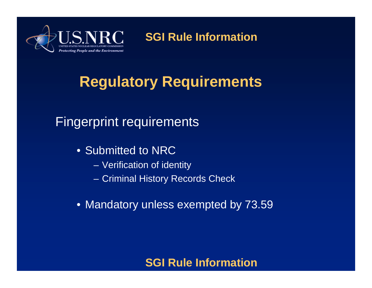

## **Regulatory Requirements**

### Fingerprint requirements

- Submitted to NRC
	- Verification of identity
	- Criminal History Records Check
- Mandatory unless exempted by 73.59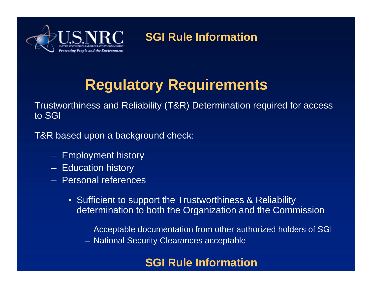

### **Regulatory Requirements**

Trustworthiness and Reliability (T&R) Determination required for access to SGI

T&R based upon a background check:

- Employment history
- Education history
- Personal references
	- Sufficient to support the Trustworthiness & Reliability determination to both the Organization and the Commission
		- Acceptable documentation from other authorized holders of SGI
		- National Security Clearances acceptable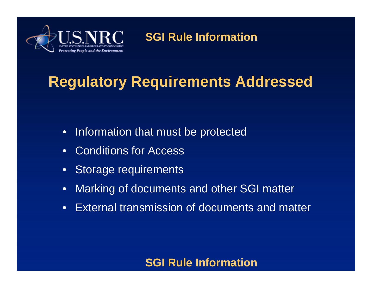

### **Regulatory Requirements Addressed**

- Information that must be protected
- Conditions for Access
- Storage requirements
- Marking of documents and other SGI matter
- External transmission of documents and matter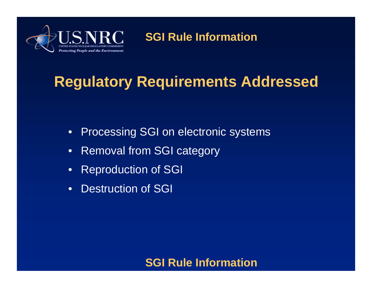

### **Regulatory Requirements Addressed**

- Processing SGI on electronic systems
- Removal from SGI category
- Reproduction of SGI
- Destruction of SGI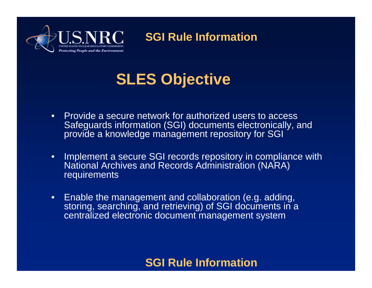

### **SLES Objective**

- Provide a secure network for authorized users to access Safeguards information (SGI) documents electronically, and provide a knowledge management repository for SGI
- Implement a secure SGI records repository in compliance with National Archives and Records Administration (NARA) **requirements**
- Enable the management and collaboration (e.g. adding, storing, searching, and retrieving) of SGI documents in a centralized electronic document management system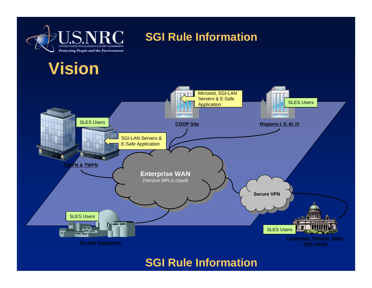

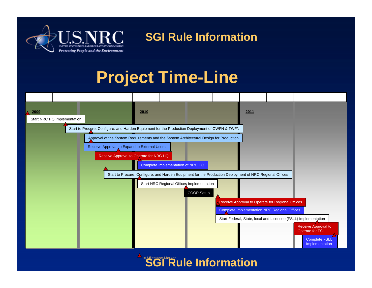

## **Project Time-Line**



**SGI Rule Information** = Milestone Marker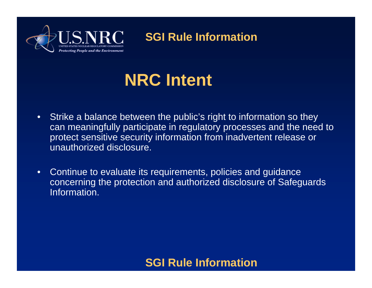

# **NRC Intent**

- Strike a balance between the public's right to information so they can meaningfully participate in regulatory processes and the need to protect sensitive security information from inadvertent release or unauthorized disclosure.
- Continue to evaluate its requirements, policies and guidance concerning the protection and authorized disclosure of Safeguards Information.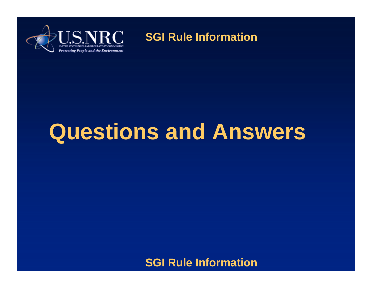

# **Questions and Answers**